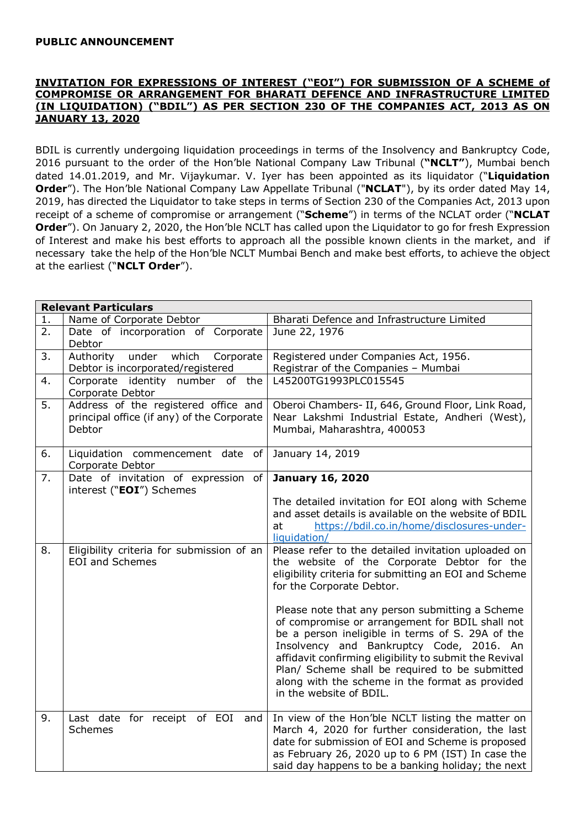## PUBLIC ANNOUNCEMENT

## INVITATION FOR EXPRESSIONS OF INTEREST ("EOI") FOR SUBMISSION OF A SCHEME of COMPROMISE OR ARRANGEMENT FOR BHARATI DEFENCE AND INFRASTRUCTURE LIMITED (IN LIQUIDATION) ("BDIL") AS PER SECTION 230 OF THE COMPANIES ACT, 2013 AS ON JANUARY 13, 2020

BDIL is currently undergoing liquidation proceedings in terms of the Insolvency and Bankruptcy Code, 2016 pursuant to the order of the Hon'ble National Company Law Tribunal ("NCLT"), Mumbai bench dated 14.01.2019, and Mr. Vijaykumar. V. Iyer has been appointed as its liquidator ("Liquidation Order"). The Hon'ble National Company Law Appellate Tribunal ("NCLAT"), by its order dated May 14, 2019, has directed the Liquidator to take steps in terms of Section 230 of the Companies Act, 2013 upon receipt of a scheme of compromise or arrangement ("Scheme") in terms of the NCLAT order ("NCLAT Order"). On January 2, 2020, the Hon'ble NCLT has called upon the Liquidator to go for fresh Expression of Interest and make his best efforts to approach all the possible known clients in the market, and if necessary take the help of the Hon'ble NCLT Mumbai Bench and make best efforts, to achieve the object at the earliest ("NCLT Order").

| <b>Relevant Particulars</b> |                                                                                              |                                                                                                                                                                                                                                                                                                                                                                                                                                                                                                                                                                                          |
|-----------------------------|----------------------------------------------------------------------------------------------|------------------------------------------------------------------------------------------------------------------------------------------------------------------------------------------------------------------------------------------------------------------------------------------------------------------------------------------------------------------------------------------------------------------------------------------------------------------------------------------------------------------------------------------------------------------------------------------|
| 1.                          | Name of Corporate Debtor                                                                     | Bharati Defence and Infrastructure Limited                                                                                                                                                                                                                                                                                                                                                                                                                                                                                                                                               |
| $\overline{2}$ .            | Date of incorporation of Corporate<br>Debtor                                                 | June 22, 1976                                                                                                                                                                                                                                                                                                                                                                                                                                                                                                                                                                            |
| 3.                          | under<br>which<br>Authority<br>Corporate<br>Debtor is incorporated/registered                | Registered under Companies Act, 1956.<br>Registrar of the Companies - Mumbai                                                                                                                                                                                                                                                                                                                                                                                                                                                                                                             |
| 4.                          | Corporate identity number of the<br>Corporate Debtor                                         | L45200TG1993PLC015545                                                                                                                                                                                                                                                                                                                                                                                                                                                                                                                                                                    |
| 5.                          | Address of the registered office and<br>principal office (if any) of the Corporate<br>Debtor | Oberoi Chambers- II, 646, Ground Floor, Link Road,<br>Near Lakshmi Industrial Estate, Andheri (West),<br>Mumbai, Maharashtra, 400053                                                                                                                                                                                                                                                                                                                                                                                                                                                     |
| 6.                          | Liquidation commencement date<br>of<br>Corporate Debtor                                      | January 14, 2019                                                                                                                                                                                                                                                                                                                                                                                                                                                                                                                                                                         |
| 7.                          | Date of invitation of expression<br>of<br>interest ("EOI") Schemes                           | <b>January 16, 2020</b><br>The detailed invitation for EOI along with Scheme<br>and asset details is available on the website of BDIL<br>https://bdil.co.in/home/disclosures-under-<br>at<br>liquidation/                                                                                                                                                                                                                                                                                                                                                                                |
| 8.                          | Eligibility criteria for submission of an<br><b>EOI and Schemes</b>                          | Please refer to the detailed invitation uploaded on<br>the website of the Corporate Debtor for the<br>eligibility criteria for submitting an EOI and Scheme<br>for the Corporate Debtor.<br>Please note that any person submitting a Scheme<br>of compromise or arrangement for BDIL shall not<br>be a person ineligible in terms of S. 29A of the<br>Insolvency and Bankruptcy Code, 2016. An<br>affidavit confirming eligibility to submit the Revival<br>Plan/ Scheme shall be required to be submitted<br>along with the scheme in the format as provided<br>in the website of BDIL. |
| 9.                          | Last date for receipt of EOI and<br><b>Schemes</b>                                           | In view of the Hon'ble NCLT listing the matter on<br>March 4, 2020 for further consideration, the last<br>date for submission of EOI and Scheme is proposed<br>as February 26, 2020 up to 6 PM (IST) In case the<br>said day happens to be a banking holiday; the next                                                                                                                                                                                                                                                                                                                   |